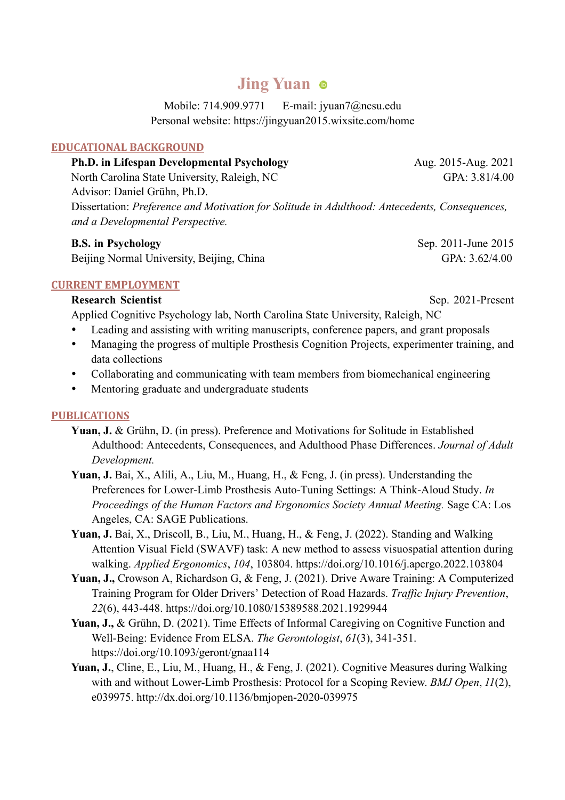# **Jing Yuan**

Mobile: 714.909.9771 E-mail: jyuan7@ncsu.edu Personal website: https://jingyuan2015.wixsite.com/home

### **EDUCATIONAL BACKGROUND**

| <b>Ph.D.</b> in Lifespan Developmental Psychology                                             | Aug. 2015-Aug. 2021 |
|-----------------------------------------------------------------------------------------------|---------------------|
| North Carolina State University, Raleigh, NC                                                  | GPA: $3.81/4.00$    |
| Advisor: Daniel Grühn, Ph.D.                                                                  |                     |
| Dissertation: Preference and Motivation for Solitude in Adulthood: Antecedents, Consequences, |                     |
| and a Developmental Perspective.                                                              |                     |

### **B.S. in Psychology** Sep. 2011-June 2015

Beijing Normal University, Beijing, China GPA: 3.62/4.00

### **CURRENT EMPLOYMENT**

**Research Scientist** Sep. 2021-Present

- Applied Cognitive Psychology lab, North Carolina State University, Raleigh, NC
- Leading and assisting with writing manuscripts, conference papers, and grant proposals
- Managing the progress of multiple Prosthesis Cognition Projects, experimenter training, and data collections
- Collaborating and communicating with team members from biomechanical engineering
- Mentoring graduate and undergraduate students

### **PUBLICATIONS**

- **Yuan, J.** & Grühn, D. (in press). Preference and Motivations for Solitude in Established Adulthood: Antecedents, Consequences, and Adulthood Phase Differences. *Journal of Adult Development.*
- **Yuan, J.** Bai, X., Alili, A., Liu, M., Huang, H., & Feng, J. (in press). Understanding the Preferences for Lower-Limb Prosthesis Auto-Tuning Settings: A Think-Aloud Study. *In Proceedings of the Human Factors and Ergonomics Society Annual Meeting.* Sage CA: Los Angeles, CA: SAGE Publications.
- **Yuan, J.** Bai, X., Driscoll, B., Liu, M., Huang, H., & Feng, J. (2022). Standing and Walking Attention Visual Field (SWAVF) task: A new method to assess visuospatial attention during walking. *Applied Ergonomics*, *104*, 103804. https://doi.org/10.1016/j.apergo.2022.103804
- **Yuan, J.,** Crowson A, Richardson G, & Feng, J. (2021). Drive Aware Training: A Computerized Training Program for Older Drivers' Detection of Road Hazards. *Traffic Injury Prevention*, *22*(6), 443-448. https://doi.org/10.1080/15389588.2021.1929944
- Yuan, J., & Grühn, D. (2021). Time Effects of Informal Caregiving on Cognitive Function and Well-Being: Evidence From ELSA. *The Gerontologist*, *61*(3), 341-351. https://doi.org/10.1093/geront/gnaa114
- **Yuan, J.**, Cline, E., Liu, M., Huang, H., & Feng, J. (2021). Cognitive Measures during Walking with and without Lower-Limb Prosthesis: Protocol for a Scoping Review. *BMJ Open*, *11*(2), e039975. http://dx.doi.org/10.1136/bmjopen-2020-039975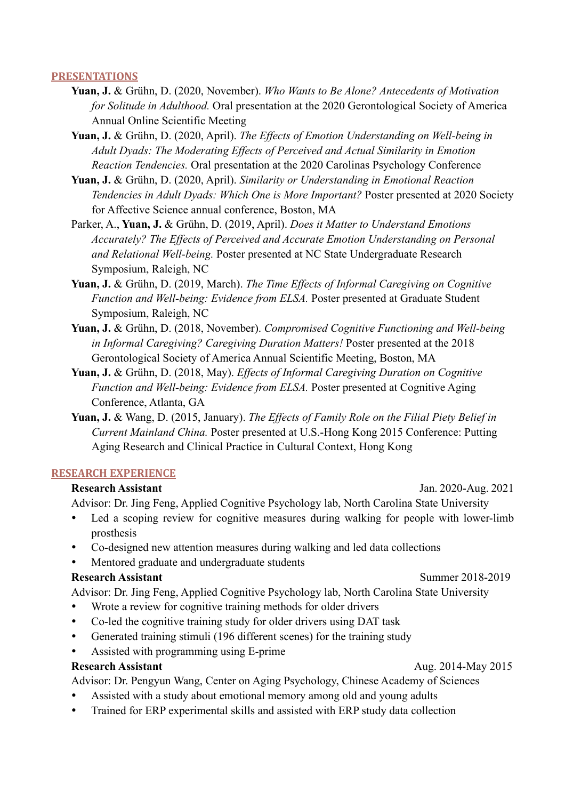### **PRESENTATIONS**

- **Yuan, J.** & Grühn, D. (2020, November). *Who Wants to Be Alone? Antecedents of Motivation for Solitude in Adulthood.* Oral presentation at the 2020 Gerontological Society of America Annual Online Scientific Meeting
- **Yuan, J.** & Grühn, D. (2020, April). *The Effects of Emotion Understanding on Well-being in Adult Dyads: The Moderating Effects of Perceived and Actual Similarity in Emotion Reaction Tendencies.* Oral presentation at the 2020 Carolinas Psychology Conference
- **Yuan, J.** & Grühn, D. (2020, April). *Similarity or Understanding in Emotional Reaction Tendencies in Adult Dyads: Which One is More Important?* Poster presented at 2020 Society for Affective Science annual conference, Boston, MA
- Parker, A., **Yuan, J.** & Grühn, D. (2019, April). *Does it Matter to Understand Emotions Accurately? The Effects of Perceived and Accurate Emotion Understanding on Personal and Relational Well-being.* Poster presented at NC State Undergraduate Research Symposium, Raleigh, NC
- **Yuan, J.** & Grühn, D. (2019, March). *The Time Effects of Informal Caregiving on Cognitive Function and Well-being: Evidence from ELSA.* Poster presented at Graduate Student Symposium, Raleigh, NC
- **Yuan, J.** & Grühn, D. (2018, November). *Compromised Cognitive Functioning and Well-being in Informal Caregiving? Caregiving Duration Matters!* Poster presented at the 2018 Gerontological Society of America Annual Scientific Meeting, Boston, MA
- **Yuan, J.** & Grühn, D. (2018, May). *Effects of Informal Caregiving Duration on Cognitive Function and Well-being: Evidence from ELSA.* Poster presented at Cognitive Aging Conference, Atlanta, GA
- **Yuan, J.** & Wang, D. (2015, January). *The Effects of Family Role on the Filial Piety Belief in Current Mainland China.* Poster presented at U.S.-Hong Kong 2015 Conference: Putting Aging Research and Clinical Practice in Cultural Context, Hong Kong

### **RESEARCH EXPERIENCE**

### **Research Assistant** Jan. 2020-Aug. 2021

Advisor: Dr. Jing Feng, Applied Cognitive Psychology lab, North Carolina State University

- Led a scoping review for cognitive measures during walking for people with lower-limb prosthesis
- Co-designed new attention measures during walking and led data collections
- Mentored graduate and undergraduate students

### **Research Assistant Summer 2018-2019**

Advisor: Dr. Jing Feng, Applied Cognitive Psychology lab, North Carolina State University

- Wrote a review for cognitive training methods for older drivers
- Co-led the cognitive training study for older drivers using DAT task
- Generated training stimuli (196 different scenes) for the training study
- Assisted with programming using E-prime

Advisor: Dr. Pengyun Wang, Center on Aging Psychology, Chinese Academy of Sciences

- Assisted with a study about emotional memory among old and young adults
- Trained for ERP experimental skills and assisted with ERP study data collection

### **Research Assistant Aug. 2014-May 2015**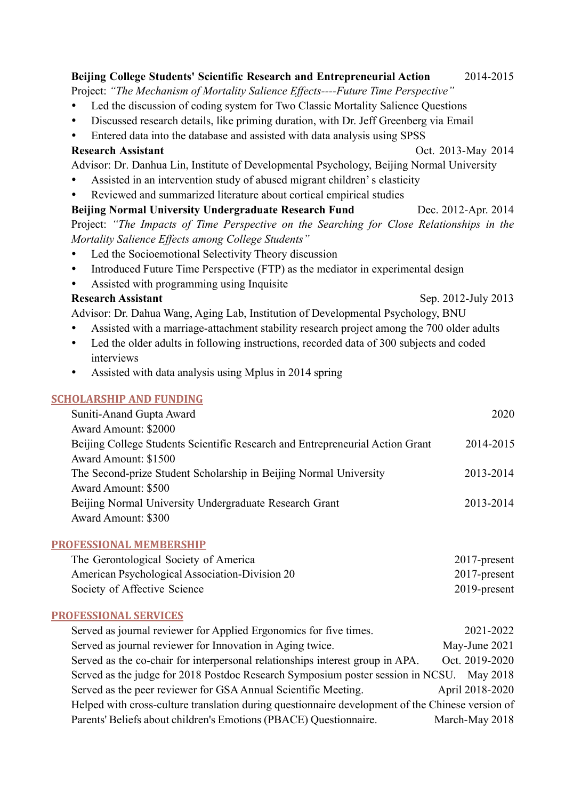| Beijing College Students' Scientific Research and Entrepreneurial Action                             | 2014-2015           |  |
|------------------------------------------------------------------------------------------------------|---------------------|--|
| Project: "The Mechanism of Mortality Salience Effects----Future Time Perspective"                    |                     |  |
| Led the discussion of coding system for Two Classic Mortality Salience Questions<br>$\bullet$        |                     |  |
| Discussed research details, like priming duration, with Dr. Jeff Greenberg via Email<br>٠            |                     |  |
| Entered data into the database and assisted with data analysis using SPSS<br>$\bullet$               |                     |  |
| <b>Research Assistant</b>                                                                            | Oct. 2013-May 2014  |  |
| Advisor: Dr. Danhua Lin, Institute of Developmental Psychology, Beijing Normal University            |                     |  |
| Assisted in an intervention study of abused migrant children's elasticity<br>٠                       |                     |  |
| Reviewed and summarized literature about cortical empirical studies<br>$\bullet$                     |                     |  |
| Beijing Normal University Undergraduate Research Fund                                                | Dec. 2012-Apr. 2014 |  |
| Project: "The Impacts of Time Perspective on the Searching for Close Relationships in the            |                     |  |
| Mortality Salience Effects among College Students"                                                   |                     |  |
| Led the Socioemotional Selectivity Theory discussion<br>٠                                            |                     |  |
| Introduced Future Time Perspective (FTP) as the mediator in experimental design<br>$\bullet$         |                     |  |
| Assisted with programming using Inquisite<br>$\bullet$                                               |                     |  |
| <b>Research Assistant</b>                                                                            | Sep. 2012-July 2013 |  |
| Advisor: Dr. Dahua Wang, Aging Lab, Institution of Developmental Psychology, BNU                     |                     |  |
| Assisted with a marriage-attachment stability research project among the 700 older adults<br>٠       |                     |  |
| Led the older adults in following instructions, recorded data of 300 subjects and coded<br>$\bullet$ |                     |  |
| interviews                                                                                           |                     |  |
| Assisted with data analysis using Mplus in 2014 spring<br>$\bullet$                                  |                     |  |
| <b>SCHOLARSHIP AND FUNDING</b>                                                                       |                     |  |
| Suniti-Anand Gupta Award                                                                             | 2020                |  |
| Award Amount: \$2000                                                                                 |                     |  |
| Beijing College Students Scientific Research and Entrepreneurial Action Grant                        | 2014-2015           |  |
| Award Amount: \$1500                                                                                 |                     |  |
| The Second-prize Student Scholarship in Beijing Normal University                                    | 2013-2014           |  |
| <b>Award Amount: \$500</b>                                                                           |                     |  |
| Beijing Normal University Undergraduate Research Grant                                               | 2013-2014           |  |
| Award Amount: \$300                                                                                  |                     |  |
| <b>PROFESSIONAL MEMBERSHIP</b>                                                                       |                     |  |
|                                                                                                      |                     |  |

| The Gerontological Society of America          | $2017$ -present |
|------------------------------------------------|-----------------|
| American Psychological Association-Division 20 | $2017$ -present |
| Society of Affective Science                   | $2019$ -present |

## **PROFESSIONAL SERVICES**

| Served as journal reviewer for Applied Ergonomics for five times.                                | 2021-2022       |  |
|--------------------------------------------------------------------------------------------------|-----------------|--|
| Served as journal reviewer for Innovation in Aging twice.                                        | May-June 2021   |  |
| Served as the co-chair for interpersonal relationships interest group in APA.                    | Oct. 2019-2020  |  |
| Served as the judge for 2018 Postdoc Research Symposium poster session in NCSU. May 2018         |                 |  |
| Served as the peer reviewer for GSA Annual Scientific Meeting.                                   | April 2018-2020 |  |
| Helped with cross-culture translation during questionnaire development of the Chinese version of |                 |  |
| Parents' Beliefs about children's Emotions (PBACE) Questionnaire.                                | March-May 2018  |  |